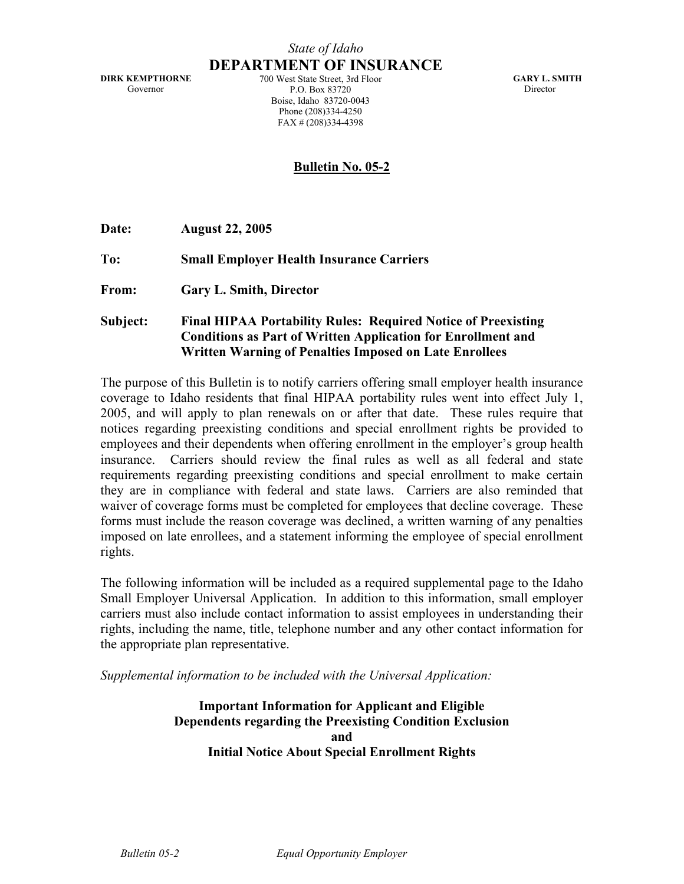**DIRK KEMPTHORNE**  Governor

**DEPARTMENT OF INSURANCE** 700 West State Street, 3rd Floor P.O. Box 83720 Boise, Idaho 83720-0043 Phone (208)334-4250 FAX # (208)334-4398

**GARY L. SMITH**  Director

## **Bulletin No. 05-2**

**Date: August 22, 2005** 

**To: Small Employer Health Insurance Carriers** 

**From: Gary L. Smith, Director** 

**Subject: Final HIPAA Portability Rules: Required Notice of Preexisting Conditions as Part of Written Application for Enrollment and Written Warning of Penalties Imposed on Late Enrollees** 

The purpose of this Bulletin is to notify carriers offering small employer health insurance coverage to Idaho residents that final HIPAA portability rules went into effect July 1, 2005, and will apply to plan renewals on or after that date. These rules require that notices regarding preexisting conditions and special enrollment rights be provided to employees and their dependents when offering enrollment in the employer's group health insurance. Carriers should review the final rules as well as all federal and state requirements regarding preexisting conditions and special enrollment to make certain they are in compliance with federal and state laws. Carriers are also reminded that waiver of coverage forms must be completed for employees that decline coverage. These forms must include the reason coverage was declined, a written warning of any penalties imposed on late enrollees, and a statement informing the employee of special enrollment rights.

The following information will be included as a required supplemental page to the Idaho Small Employer Universal Application. In addition to this information, small employer carriers must also include contact information to assist employees in understanding their rights, including the name, title, telephone number and any other contact information for the appropriate plan representative.

*Supplemental information to be included with the Universal Application:* 

**Important Information for Applicant and Eligible Dependents regarding the Preexisting Condition Exclusion and Initial Notice About Special Enrollment Rights**